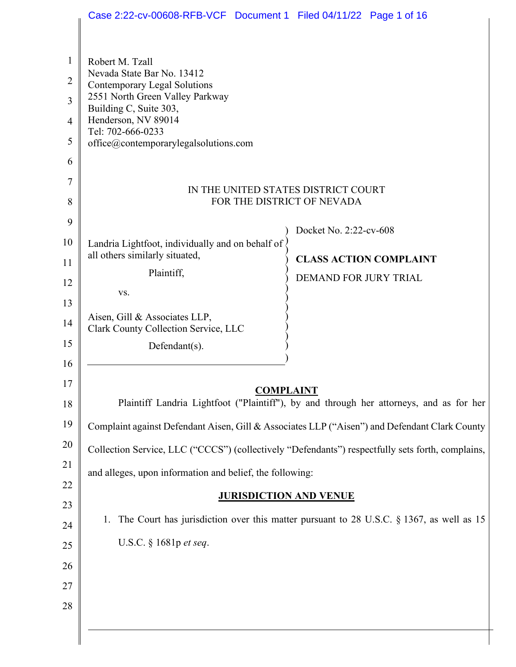|                                                 | Case 2:22-cv-00608-RFB-VCF Document 1 Filed 04/11/22 Page 1 of 16                                                                                                                                                               |                                                                                               |
|-------------------------------------------------|---------------------------------------------------------------------------------------------------------------------------------------------------------------------------------------------------------------------------------|-----------------------------------------------------------------------------------------------|
| 1<br>$\overline{2}$<br>3<br>$\overline{4}$<br>5 | Robert M. Tzall<br>Nevada State Bar No. 13412<br>Contemporary Legal Solutions<br>2551 North Green Valley Parkway<br>Building C, Suite 303,<br>Henderson, NV 89014<br>Tel: 702-666-0233<br>office@contemporarylegalsolutions.com |                                                                                               |
| 6<br>7<br>8                                     | IN THE UNITED STATES DISTRICT COURT<br>FOR THE DISTRICT OF NEVADA                                                                                                                                                               |                                                                                               |
| 9                                               |                                                                                                                                                                                                                                 |                                                                                               |
| 10                                              | Landria Lightfoot, individually and on behalf of                                                                                                                                                                                | Docket No. 2:22-cv-608                                                                        |
| 11                                              | all others similarly situated,                                                                                                                                                                                                  | <b>CLASS ACTION COMPLAINT</b>                                                                 |
| 12                                              | Plaintiff,                                                                                                                                                                                                                      | DEMAND FOR JURY TRIAL                                                                         |
| 13                                              | VS.                                                                                                                                                                                                                             |                                                                                               |
| 14                                              | Aisen, Gill & Associates LLP,<br>Clark County Collection Service, LLC                                                                                                                                                           |                                                                                               |
| 15                                              | Defendant(s).                                                                                                                                                                                                                   |                                                                                               |
| 16                                              |                                                                                                                                                                                                                                 |                                                                                               |
| 17                                              | <b>COMPLAINT</b>                                                                                                                                                                                                                |                                                                                               |
| 18                                              |                                                                                                                                                                                                                                 | Plaintiff Landria Lightfoot ("Plaintiff"), by and through her attorneys, and as for her       |
| 19                                              |                                                                                                                                                                                                                                 | Complaint against Defendant Aisen, Gill & Associates LLP ("Aisen") and Defendant Clark County |
| 20                                              | Collection Service, LLC ("CCCS") (collectively "Defendants") respectfully sets forth, complains,                                                                                                                                |                                                                                               |
| 21                                              | and alleges, upon information and belief, the following:                                                                                                                                                                        |                                                                                               |
| 22                                              | <b>JURISDICTION AND VENUE</b>                                                                                                                                                                                                   |                                                                                               |
| 23                                              |                                                                                                                                                                                                                                 |                                                                                               |
| 24                                              | 1.                                                                                                                                                                                                                              | The Court has jurisdiction over this matter pursuant to 28 U.S.C. $\S$ 1367, as well as 15    |
| 25                                              | U.S.C. § 1681p et seq.                                                                                                                                                                                                          |                                                                                               |
| 26                                              |                                                                                                                                                                                                                                 |                                                                                               |
| 27                                              |                                                                                                                                                                                                                                 |                                                                                               |
| 28                                              |                                                                                                                                                                                                                                 |                                                                                               |
|                                                 |                                                                                                                                                                                                                                 |                                                                                               |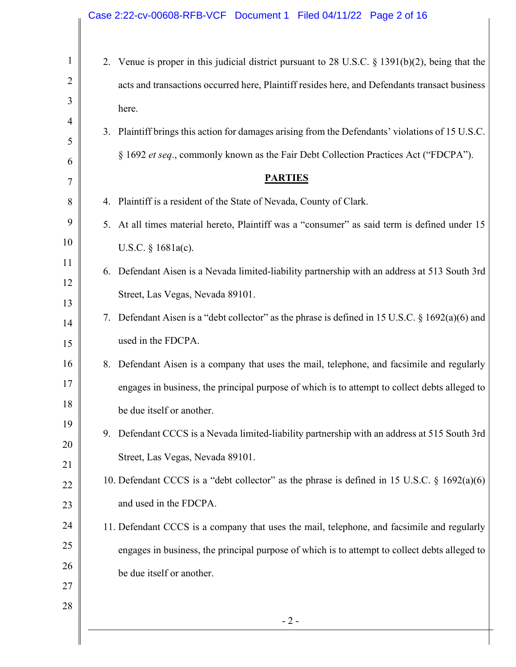## 1 2 3 4 5 6 7 8 9 10 11 12 13 14 15 16 17 18 19 20 21 22 23 24 25 26 27 28 - 2 - 2. Venue is proper in this judicial district pursuant to 28 U.S.C. § 1391(b)(2), being that the acts and transactions occurred here, Plaintiff resides here, and Defendants transact business here. 3. Plaintiff brings this action for damages arising from the Defendants' violations of 15 U.S.C. § 1692 *et seq*., commonly known as the Fair Debt Collection Practices Act ("FDCPA"). **PARTIES** 4. Plaintiff is a resident of the State of Nevada, County of Clark. 5. At all times material hereto, Plaintiff was a "consumer" as said term is defined under 15 U.S.C. § 1681a(c). 6. Defendant Aisen is a Nevada limited-liability partnership with an address at 513 South 3rd Street, Las Vegas, Nevada 89101. 7. Defendant Aisen is a "debt collector" as the phrase is defined in 15 U.S.C. § 1692(a)(6) and used in the FDCPA. 8. Defendant Aisen is a company that uses the mail, telephone, and facsimile and regularly engages in business, the principal purpose of which is to attempt to collect debts alleged to be due itself or another. 9. Defendant CCCS is a Nevada limited-liability partnership with an address at 515 South 3rd Street, Las Vegas, Nevada 89101. 10. Defendant CCCS is a "debt collector" as the phrase is defined in 15 U.S.C. § 1692(a)(6) and used in the FDCPA. 11. Defendant CCCS is a company that uses the mail, telephone, and facsimile and regularly engages in business, the principal purpose of which is to attempt to collect debts alleged to be due itself or another. Case 2:22-cv-00608-RFB-VCF Document 1 Filed 04/11/22 Page 2 of 16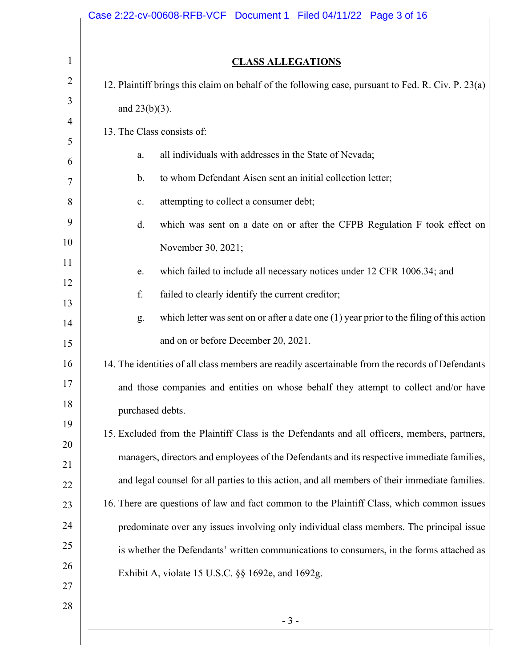|                  | <b>CLASS ALLEGATIONS</b>                                                                           |
|------------------|----------------------------------------------------------------------------------------------------|
|                  | 12. Plaintiff brings this claim on behalf of the following case, pursuant to Fed. R. Civ. P. 23(a) |
| and $23(b)(3)$ . |                                                                                                    |
|                  | 13. The Class consists of:                                                                         |
| a.               | all individuals with addresses in the State of Nevada;                                             |
| b.               | to whom Defendant Aisen sent an initial collection letter;                                         |
| $\mathbf{c}.$    | attempting to collect a consumer debt;                                                             |
| d.               | which was sent on a date on or after the CFPB Regulation F took effect on                          |
|                  | November 30, 2021;                                                                                 |
| e.               | which failed to include all necessary notices under 12 CFR 1006.34; and                            |
| f.               | failed to clearly identify the current creditor;                                                   |
| g.               | which letter was sent on or after a date one $(1)$ year prior to the filing of this action         |
|                  | and on or before December 20, 2021.                                                                |
|                  | 14. The identities of all class members are readily ascertainable from the records of Defendants   |
|                  | and those companies and entities on whose behalf they attempt to collect and/or have               |
|                  | purchased debts.                                                                                   |
|                  | 15. Excluded from the Plaintiff Class is the Defendants and all officers, members, partners,       |
|                  | managers, directors and employees of the Defendants and its respective immediate families,         |
|                  | and legal counsel for all parties to this action, and all members of their immediate families.     |
|                  | 16. There are questions of law and fact common to the Plaintiff Class, which common issues         |
|                  | predominate over any issues involving only individual class members. The principal issue           |
|                  | is whether the Defendants' written communications to consumers, in the forms attached as           |
|                  | Exhibit A, violate 15 U.S.C. §§ 1692e, and 1692g.                                                  |
|                  |                                                                                                    |
|                  | $-3-$                                                                                              |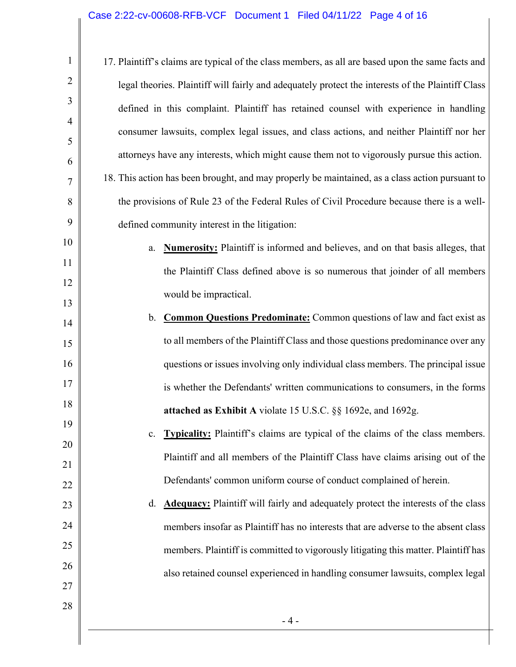| $\mathbf{1}$   | 17. Plaintiff's claims are typical of the class members, as all are based upon the same facts and |
|----------------|---------------------------------------------------------------------------------------------------|
| $\overline{2}$ | legal theories. Plaintiff will fairly and adequately protect the interests of the Plaintiff Class |
| 3              | defined in this complaint. Plaintiff has retained counsel with experience in handling             |
| $\overline{4}$ | consumer lawsuits, complex legal issues, and class actions, and neither Plaintiff nor her         |
| 5<br>6         | attorneys have any interests, which might cause them not to vigorously pursue this action.        |
| 7              | 18. This action has been brought, and may properly be maintained, as a class action pursuant to   |
| 8              | the provisions of Rule 23 of the Federal Rules of Civil Procedure because there is a well-        |
| 9              | defined community interest in the litigation:                                                     |
| 10             | <b>Numerosity:</b> Plaintiff is informed and believes, and on that basis alleges, that<br>a.      |
| 11             | the Plaintiff Class defined above is so numerous that joinder of all members                      |
| 12             | would be impractical.                                                                             |
| 13<br>14       | <b>Common Questions Predominate:</b> Common questions of law and fact exist as<br>b.              |
| 15             | to all members of the Plaintiff Class and those questions predominance over any                   |
| 16             | questions or issues involving only individual class members. The principal issue                  |
| 17             | is whether the Defendants' written communications to consumers, in the forms                      |
| 18             | attached as Exhibit A violate 15 U.S.C. §§ 1692e, and 1692g.                                      |
| 19             | <b>Typicality:</b> Plaintiff's claims are typical of the claims of the class members.<br>c.       |
| 20             | Plaintiff and all members of the Plaintiff Class have claims arising out of the                   |
| 21<br>22       | Defendants' common uniform course of conduct complained of herein.                                |
| 23             | <b>Adequacy:</b> Plaintiff will fairly and adequately protect the interests of the class<br>d.    |
| 24             | members insofar as Plaintiff has no interests that are adverse to the absent class                |
| 25             | members. Plaintiff is committed to vigorously litigating this matter. Plaintiff has               |
| 26             | also retained counsel experienced in handling consumer lawsuits, complex legal                    |
| 27             |                                                                                                   |
| 28             | $-4-$                                                                                             |
|                |                                                                                                   |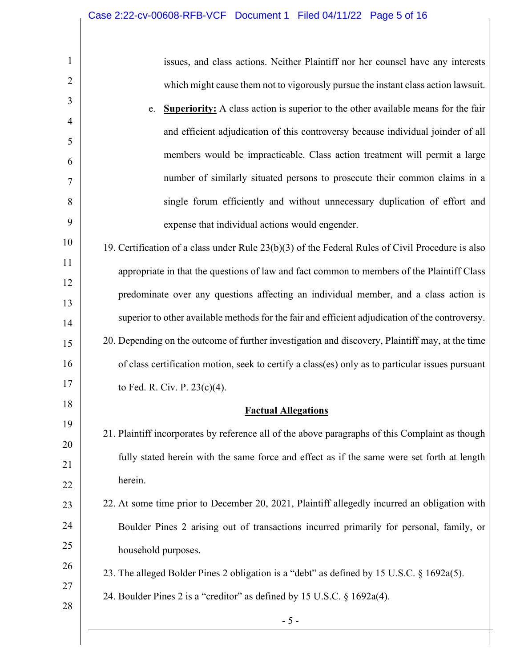| 1              | issues, and class actions. Neither Plaintiff nor her counsel have any interests                    |
|----------------|----------------------------------------------------------------------------------------------------|
| 2              | which might cause them not to vigorously pursue the instant class action lawsuit.                  |
| 3              | <b>Superiority:</b> A class action is superior to the other available means for the fair<br>e.     |
| $\overline{4}$ | and efficient adjudication of this controversy because individual joinder of all                   |
| 5              | members would be impracticable. Class action treatment will permit a large                         |
| 6              | number of similarly situated persons to prosecute their common claims in a                         |
| 7              |                                                                                                    |
| 8<br>9         | single forum efficiently and without unnecessary duplication of effort and                         |
|                | expense that individual actions would engender.                                                    |
| 10             | 19. Certification of a class under Rule $23(b)(3)$ of the Federal Rules of Civil Procedure is also |
| 11             | appropriate in that the questions of law and fact common to members of the Plaintiff Class         |
| 12<br>13       | predominate over any questions affecting an individual member, and a class action is               |
| 14             | superior to other available methods for the fair and efficient adjudication of the controversy.    |
| 15             | 20. Depending on the outcome of further investigation and discovery, Plaintiff may, at the time    |
| 16             | of class certification motion, seek to certify a class(es) only as to particular issues pursuant   |
| 17             | to Fed. R. Civ. P. 23(c)(4).                                                                       |
| 18             | <b>Factual Allegations</b>                                                                         |
| 19             | 21. Plaintiff incorporates by reference all of the above paragraphs of this Complaint as though    |
| 20<br>21       | fully stated herein with the same force and effect as if the same were set forth at length         |
| 22             | herein.                                                                                            |
| 23             | 22. At some time prior to December 20, 2021, Plaintiff allegedly incurred an obligation with       |
| 24             | Boulder Pines 2 arising out of transactions incurred primarily for personal, family, or            |
| 25             | household purposes.                                                                                |
| 26             | 23. The alleged Bolder Pines 2 obligation is a "debt" as defined by 15 U.S.C. § 1692a(5).          |
| 27             | 24. Boulder Pines 2 is a "creditor" as defined by 15 U.S.C. § 1692a(4).                            |
| 28             |                                                                                                    |
|                | $-5-$                                                                                              |

Π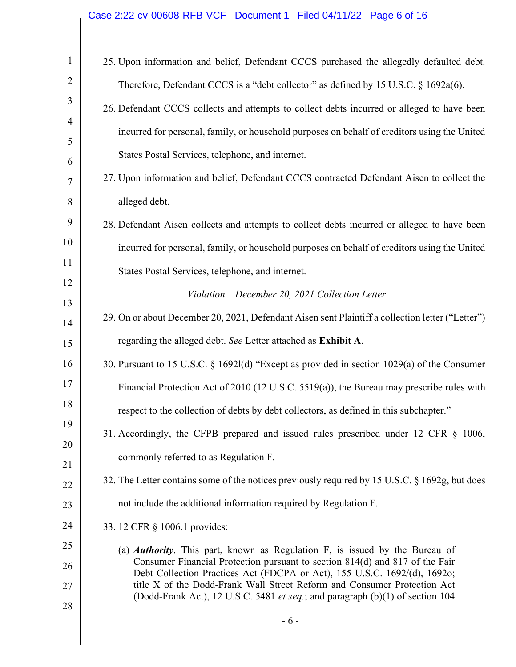## Case 2:22-cv-00608-RFB-VCF Document 1 Filed 04/11/22 Page 6 of 16

| $\mathbf{1}$   | 25. Upon information and belief, Defendant CCCS purchased the allegedly defaulted debt.                                                                   |
|----------------|-----------------------------------------------------------------------------------------------------------------------------------------------------------|
| $\overline{2}$ | Therefore, Defendant CCCS is a "debt collector" as defined by 15 U.S.C. § 1692a(6).                                                                       |
| 3              | 26. Defendant CCCS collects and attempts to collect debts incurred or alleged to have been                                                                |
| $\overline{4}$ | incurred for personal, family, or household purposes on behalf of creditors using the United                                                              |
| 5<br>6         | States Postal Services, telephone, and internet.                                                                                                          |
| 7              | 27. Upon information and belief, Defendant CCCS contracted Defendant Aisen to collect the                                                                 |
| 8              | alleged debt.                                                                                                                                             |
| 9              | 28. Defendant Aisen collects and attempts to collect debts incurred or alleged to have been                                                               |
| 10             | incurred for personal, family, or household purposes on behalf of creditors using the United                                                              |
| 11             | States Postal Services, telephone, and internet.                                                                                                          |
| 12             | Violation – December 20, 2021 Collection Letter                                                                                                           |
| 13<br>14       | 29. On or about December 20, 2021, Defendant Aisen sent Plaintiff a collection letter ("Letter")                                                          |
| 15             | regarding the alleged debt. See Letter attached as Exhibit A.                                                                                             |
| 16             | 30. Pursuant to 15 U.S.C. § 16921(d) "Except as provided in section 1029(a) of the Consumer                                                               |
| 17             | Financial Protection Act of 2010 (12 U.S.C. 5519(a)), the Bureau may prescribe rules with                                                                 |
| 18             | respect to the collection of debts by debt collectors, as defined in this subchapter."                                                                    |
| 19             | 31. Accordingly, the CFPB prepared and issued rules prescribed under 12 CFR § 1006,                                                                       |
| 20<br>21       | commonly referred to as Regulation F.                                                                                                                     |
| 22             | 32. The Letter contains some of the notices previously required by 15 U.S.C. § 1692g, but does                                                            |
| 23             | not include the additional information required by Regulation F.                                                                                          |
| 24             | 33. 12 CFR § 1006.1 provides:                                                                                                                             |
| 25             | (a) <i>Authority</i> . This part, known as Regulation F, is issued by the Bureau of                                                                       |
| 26             | Consumer Financial Protection pursuant to section 814(d) and 817 of the Fair<br>Debt Collection Practices Act (FDCPA or Act), 155 U.S.C. 1692/(d), 1692o; |
| 27             | title X of the Dodd-Frank Wall Street Reform and Consumer Protection Act<br>(Dodd-Frank Act), 12 U.S.C. 5481 et seq.; and paragraph (b)(1) of section 104 |
| 28             | $-6-$                                                                                                                                                     |
|                |                                                                                                                                                           |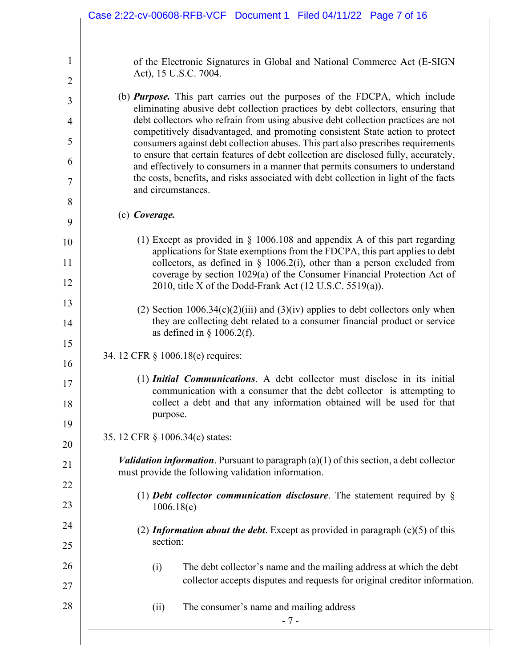|                | Case 2:22-cv-00608-RFB-VCF Document 1 Filed 04/11/22 Page 7 of 16                                                                                                       |
|----------------|-------------------------------------------------------------------------------------------------------------------------------------------------------------------------|
|                |                                                                                                                                                                         |
| 1              | of the Electronic Signatures in Global and National Commerce Act (E-SIGN<br>Act), 15 U.S.C. 7004.                                                                       |
| $\overline{c}$ |                                                                                                                                                                         |
| 3              | (b) <b>Purpose.</b> This part carries out the purposes of the FDCPA, which include<br>eliminating abusive debt collection practices by debt collectors, ensuring that   |
| $\overline{4}$ | debt collectors who refrain from using abusive debt collection practices are not<br>competitively disadvantaged, and promoting consistent State action to protect       |
| 5              | consumers against debt collection abuses. This part also prescribes requirements<br>to ensure that certain features of debt collection are disclosed fully, accurately, |
| 6              | and effectively to consumers in a manner that permits consumers to understand                                                                                           |
| 7              | the costs, benefits, and risks associated with debt collection in light of the facts<br>and circumstances.                                                              |
| 8              |                                                                                                                                                                         |
| 9              | (c) Coverage.                                                                                                                                                           |
| 10             | (1) Except as provided in $\S$ 1006.108 and appendix A of this part regarding<br>applications for State exemptions from the FDCPA, this part applies to debt            |
| 11             | collectors, as defined in $\S$ 1006.2(i), other than a person excluded from<br>coverage by section 1029(a) of the Consumer Financial Protection Act of                  |
| 12             | 2010, title X of the Dodd-Frank Act (12 U.S.C. 5519(a)).                                                                                                                |
| 13             | (2) Section $1006.34(c)(2)(iii)$ and $(3)(iv)$ applies to debt collectors only when                                                                                     |
| 14             | they are collecting debt related to a consumer financial product or service<br>as defined in $\S$ 1006.2(f).                                                            |
| 15<br>16       | 34. 12 CFR § 1006.18(e) requires:                                                                                                                                       |
| 17             | (1) Initial Communications. A debt collector must disclose in its initial                                                                                               |
| 18             | communication with a consumer that the debt collector is attempting to<br>collect a debt and that any information obtained will be used for that                        |
| 19             | purpose.                                                                                                                                                                |
| 20             | 35. 12 CFR § 1006.34(c) states:                                                                                                                                         |
| 21             | <i>Validation information</i> . Pursuant to paragraph $(a)(1)$ of this section, a debt collector<br>must provide the following validation information.                  |
| 22             |                                                                                                                                                                         |
| 23             | (1) Debt collector communication disclosure. The statement required by $\S$<br>1006.18(e)                                                                               |
| 24             | (2) <i>Information about the debt</i> . Except as provided in paragraph $(c)(5)$ of this                                                                                |
| 25             | section:                                                                                                                                                                |
| 26             | The debt collector's name and the mailing address at which the debt<br>(i)                                                                                              |
| 27             | collector accepts disputes and requests for original creditor information.                                                                                              |
| 28             | (ii)<br>The consumer's name and mailing address<br>$-7-$                                                                                                                |
|                |                                                                                                                                                                         |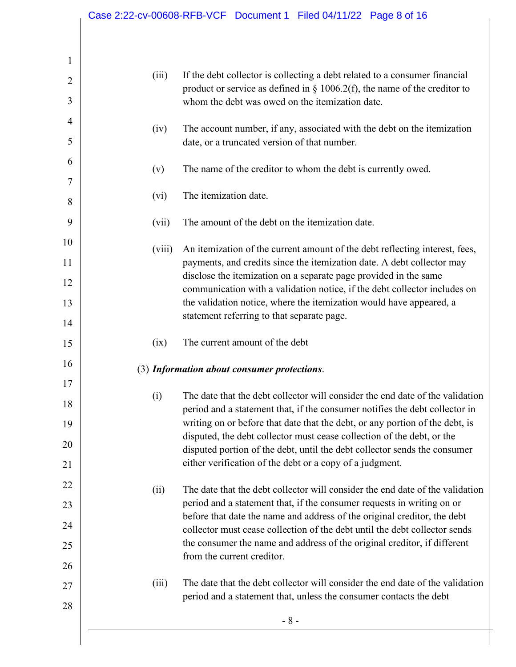| (iv)<br>date, or a truncated version of that number.<br>(v)<br>The itemization date.<br>(vi)<br>The amount of the debt on the itemization date.<br>(vii)<br>(viii)<br>statement referring to that separate page.<br>The current amount of the debt<br>(ix)<br>(3) Information about consumer protections.<br>(i)<br>(ii)<br>from the current creditor.<br>(iii) | The date that the debt collector will consider the end date of the validation<br>period and a statement that, if the consumer requests in writing on or<br>before that date the name and address of the original creditor, the debt<br>collector must cease collection of the debt until the debt collector sends<br>the consumer the name and address of the original creditor, if different<br>The date that the debt collector will consider the end date of the validation<br>period and a statement that, unless the consumer contacts the debt |
|-----------------------------------------------------------------------------------------------------------------------------------------------------------------------------------------------------------------------------------------------------------------------------------------------------------------------------------------------------------------|------------------------------------------------------------------------------------------------------------------------------------------------------------------------------------------------------------------------------------------------------------------------------------------------------------------------------------------------------------------------------------------------------------------------------------------------------------------------------------------------------------------------------------------------------|
|                                                                                                                                                                                                                                                                                                                                                                 |                                                                                                                                                                                                                                                                                                                                                                                                                                                                                                                                                      |
|                                                                                                                                                                                                                                                                                                                                                                 |                                                                                                                                                                                                                                                                                                                                                                                                                                                                                                                                                      |
|                                                                                                                                                                                                                                                                                                                                                                 |                                                                                                                                                                                                                                                                                                                                                                                                                                                                                                                                                      |
|                                                                                                                                                                                                                                                                                                                                                                 |                                                                                                                                                                                                                                                                                                                                                                                                                                                                                                                                                      |
|                                                                                                                                                                                                                                                                                                                                                                 |                                                                                                                                                                                                                                                                                                                                                                                                                                                                                                                                                      |
|                                                                                                                                                                                                                                                                                                                                                                 |                                                                                                                                                                                                                                                                                                                                                                                                                                                                                                                                                      |
|                                                                                                                                                                                                                                                                                                                                                                 | either verification of the debt or a copy of a judgment.                                                                                                                                                                                                                                                                                                                                                                                                                                                                                             |
|                                                                                                                                                                                                                                                                                                                                                                 | disputed portion of the debt, until the debt collector sends the consumer                                                                                                                                                                                                                                                                                                                                                                                                                                                                            |
|                                                                                                                                                                                                                                                                                                                                                                 | writing on or before that date that the debt, or any portion of the debt, is<br>disputed, the debt collector must cease collection of the debt, or the                                                                                                                                                                                                                                                                                                                                                                                               |
|                                                                                                                                                                                                                                                                                                                                                                 | period and a statement that, if the consumer notifies the debt collector in                                                                                                                                                                                                                                                                                                                                                                                                                                                                          |
|                                                                                                                                                                                                                                                                                                                                                                 | The date that the debt collector will consider the end date of the validation                                                                                                                                                                                                                                                                                                                                                                                                                                                                        |
|                                                                                                                                                                                                                                                                                                                                                                 |                                                                                                                                                                                                                                                                                                                                                                                                                                                                                                                                                      |
|                                                                                                                                                                                                                                                                                                                                                                 |                                                                                                                                                                                                                                                                                                                                                                                                                                                                                                                                                      |
|                                                                                                                                                                                                                                                                                                                                                                 |                                                                                                                                                                                                                                                                                                                                                                                                                                                                                                                                                      |
|                                                                                                                                                                                                                                                                                                                                                                 | the validation notice, where the itemization would have appeared, a                                                                                                                                                                                                                                                                                                                                                                                                                                                                                  |
|                                                                                                                                                                                                                                                                                                                                                                 | communication with a validation notice, if the debt collector includes on                                                                                                                                                                                                                                                                                                                                                                                                                                                                            |
|                                                                                                                                                                                                                                                                                                                                                                 | payments, and credits since the itemization date. A debt collector may<br>disclose the itemization on a separate page provided in the same                                                                                                                                                                                                                                                                                                                                                                                                           |
|                                                                                                                                                                                                                                                                                                                                                                 | An itemization of the current amount of the debt reflecting interest, fees,                                                                                                                                                                                                                                                                                                                                                                                                                                                                          |
|                                                                                                                                                                                                                                                                                                                                                                 |                                                                                                                                                                                                                                                                                                                                                                                                                                                                                                                                                      |
|                                                                                                                                                                                                                                                                                                                                                                 |                                                                                                                                                                                                                                                                                                                                                                                                                                                                                                                                                      |
|                                                                                                                                                                                                                                                                                                                                                                 |                                                                                                                                                                                                                                                                                                                                                                                                                                                                                                                                                      |
|                                                                                                                                                                                                                                                                                                                                                                 | The name of the creditor to whom the debt is currently owed.                                                                                                                                                                                                                                                                                                                                                                                                                                                                                         |
|                                                                                                                                                                                                                                                                                                                                                                 |                                                                                                                                                                                                                                                                                                                                                                                                                                                                                                                                                      |
|                                                                                                                                                                                                                                                                                                                                                                 | The account number, if any, associated with the debt on the itemization                                                                                                                                                                                                                                                                                                                                                                                                                                                                              |
|                                                                                                                                                                                                                                                                                                                                                                 | whom the debt was owed on the itemization date.                                                                                                                                                                                                                                                                                                                                                                                                                                                                                                      |
| (iii)                                                                                                                                                                                                                                                                                                                                                           | If the debt collector is collecting a debt related to a consumer financial<br>product or service as defined in $\S$ 1006.2(f), the name of the creditor to                                                                                                                                                                                                                                                                                                                                                                                           |
|                                                                                                                                                                                                                                                                                                                                                                 |                                                                                                                                                                                                                                                                                                                                                                                                                                                                                                                                                      |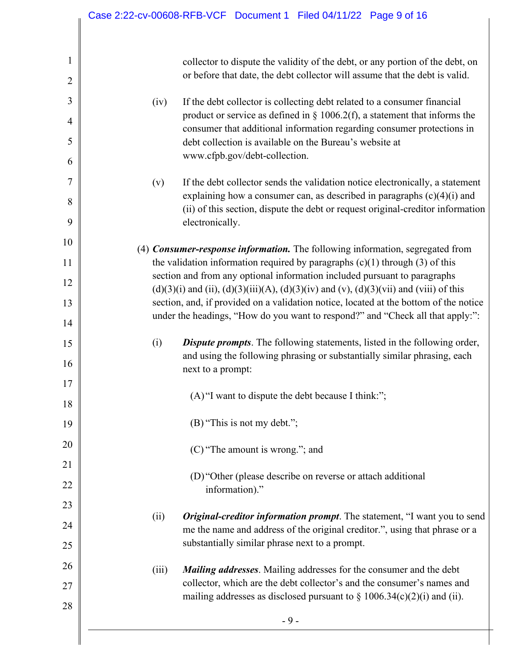|                                | Case 2:22-cv-00608-RFB-VCF Document 1 Filed 04/11/22 Page 9 of 16                                                                                                            |
|--------------------------------|------------------------------------------------------------------------------------------------------------------------------------------------------------------------------|
| $\mathbf{1}$<br>$\overline{2}$ | collector to dispute the validity of the debt, or any portion of the debt, on<br>or before that date, the debt collector will assume that the debt is valid.                 |
| 3                              | If the debt collector is collecting debt related to a consumer financial<br>(iv)                                                                                             |
| $\overline{4}$                 | product or service as defined in $\S$ 1006.2(f), a statement that informs the<br>consumer that additional information regarding consumer protections in                      |
| 5<br>6                         | debt collection is available on the Bureau's website at<br>www.cfpb.gov/debt-collection.                                                                                     |
| 7                              | If the debt collector sends the validation notice electronically, a statement<br>(v)                                                                                         |
| 8                              | explaining how a consumer can, as described in paragraphs $(c)(4)(i)$ and                                                                                                    |
| 9                              | (ii) of this section, dispute the debt or request original-creditor information<br>electronically.                                                                           |
| 10                             | (4) Consumer-response information. The following information, segregated from                                                                                                |
| 11                             | the validation information required by paragraphs $(c)(1)$ through $(3)$ of this                                                                                             |
| 12                             | section and from any optional information included pursuant to paragraphs<br>$(d)(3)(i)$ and (ii), $(d)(3)(iii)(A)$ , $(d)(3)(iv)$ and (v), $(d)(3)(vii)$ and (viii) of this |
| 13                             | section, and, if provided on a validation notice, located at the bottom of the notice                                                                                        |
| 14                             | under the headings, "How do you want to respond?" and "Check all that apply:":                                                                                               |
| 15                             | <b>Dispute prompts.</b> The following statements, listed in the following order,<br>(i)                                                                                      |
| 16                             | and using the following phrasing or substantially similar phrasing, each<br>next to a prompt:                                                                                |
| 17                             |                                                                                                                                                                              |
| 18                             | (A) "I want to dispute the debt because I think:";                                                                                                                           |
| 19                             | (B) "This is not my debt.";                                                                                                                                                  |
| 20                             | (C) "The amount is wrong."; and                                                                                                                                              |
|                                |                                                                                                                                                                              |
|                                | (D) "Other (please describe on reverse or attach additional<br>information)."                                                                                                |
|                                |                                                                                                                                                                              |
| 24                             | Original-creditor information prompt. The statement, "I want you to send<br>(ii)<br>me the name and address of the original creditor.", using that phrase or a               |
| 25                             | substantially similar phrase next to a prompt.                                                                                                                               |
| 26                             | <b>Mailing addresses.</b> Mailing addresses for the consumer and the debt<br>(iii)                                                                                           |
|                                | collector, which are the debt collector's and the consumer's names and<br>mailing addresses as disclosed pursuant to $\S 1006.34(c)(2)(i)$ and (ii).                         |
| 28                             | $-9-$                                                                                                                                                                        |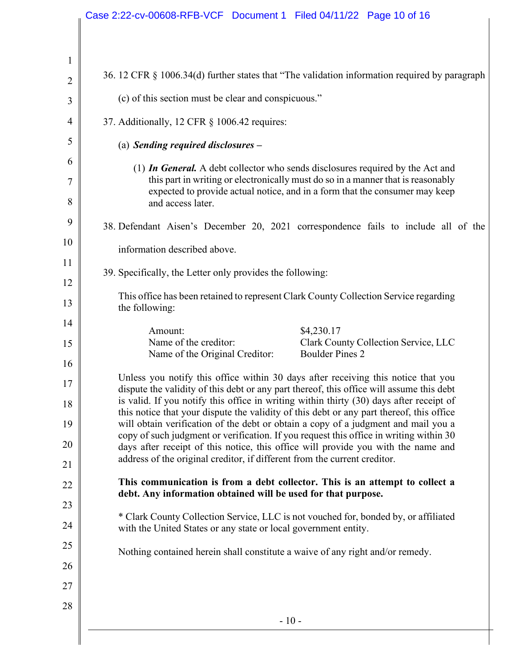|                            | Case 2:22-cv-00608-RFB-VCF Document 1 Filed 04/11/22 Page 10 of 16                                                                                                                                                                                                                                                                                                                                                                                                                                                                                                                                                                                                                                                     |
|----------------------------|------------------------------------------------------------------------------------------------------------------------------------------------------------------------------------------------------------------------------------------------------------------------------------------------------------------------------------------------------------------------------------------------------------------------------------------------------------------------------------------------------------------------------------------------------------------------------------------------------------------------------------------------------------------------------------------------------------------------|
|                            |                                                                                                                                                                                                                                                                                                                                                                                                                                                                                                                                                                                                                                                                                                                        |
| $\mathbf{1}$               |                                                                                                                                                                                                                                                                                                                                                                                                                                                                                                                                                                                                                                                                                                                        |
| $\overline{2}$             | 36. 12 CFR § 1006.34(d) further states that "The validation information required by paragraph                                                                                                                                                                                                                                                                                                                                                                                                                                                                                                                                                                                                                          |
| 3                          | (c) of this section must be clear and conspicuous."                                                                                                                                                                                                                                                                                                                                                                                                                                                                                                                                                                                                                                                                    |
| $\overline{4}$             | 37. Additionally, 12 CFR § 1006.42 requires:                                                                                                                                                                                                                                                                                                                                                                                                                                                                                                                                                                                                                                                                           |
| 5                          | (a) Sending required disclosures $-$                                                                                                                                                                                                                                                                                                                                                                                                                                                                                                                                                                                                                                                                                   |
| 6                          | (1) In General. A debt collector who sends disclosures required by the Act and                                                                                                                                                                                                                                                                                                                                                                                                                                                                                                                                                                                                                                         |
| 7<br>8                     | this part in writing or electronically must do so in a manner that is reasonably<br>expected to provide actual notice, and in a form that the consumer may keep<br>and access later.                                                                                                                                                                                                                                                                                                                                                                                                                                                                                                                                   |
| 9                          | 38. Defendant Aisen's December 20, 2021 correspondence fails to include all of the                                                                                                                                                                                                                                                                                                                                                                                                                                                                                                                                                                                                                                     |
| 10                         | information described above.                                                                                                                                                                                                                                                                                                                                                                                                                                                                                                                                                                                                                                                                                           |
| 11                         | 39. Specifically, the Letter only provides the following:                                                                                                                                                                                                                                                                                                                                                                                                                                                                                                                                                                                                                                                              |
| 12<br>13                   | This office has been retained to represent Clark County Collection Service regarding<br>the following:                                                                                                                                                                                                                                                                                                                                                                                                                                                                                                                                                                                                                 |
| 14<br>15<br>16             | \$4,230.17<br>Amount:<br>Name of the creditor:<br>Clark County Collection Service, LLC<br><b>Boulder Pines 2</b><br>Name of the Original Creditor:                                                                                                                                                                                                                                                                                                                                                                                                                                                                                                                                                                     |
| 17<br>18<br>19<br>20<br>21 | Unless you notify this office within 30 days after receiving this notice that you<br>dispute the validity of this debt or any part thereof, this office will assume this debt<br>is valid. If you notify this office in writing within thirty (30) days after receipt of<br>this notice that your dispute the validity of this debt or any part thereof, this office<br>will obtain verification of the debt or obtain a copy of a judgment and mail you a<br>copy of such judgment or verification. If you request this office in writing within 30<br>days after receipt of this notice, this office will provide you with the name and<br>address of the original creditor, if different from the current creditor. |
| 22                         | This communication is from a debt collector. This is an attempt to collect a                                                                                                                                                                                                                                                                                                                                                                                                                                                                                                                                                                                                                                           |
| 23                         | debt. Any information obtained will be used for that purpose.                                                                                                                                                                                                                                                                                                                                                                                                                                                                                                                                                                                                                                                          |
| 24                         | * Clark County Collection Service, LLC is not vouched for, bonded by, or affiliated<br>with the United States or any state or local government entity.                                                                                                                                                                                                                                                                                                                                                                                                                                                                                                                                                                 |
| 25<br>26                   | Nothing contained herein shall constitute a waive of any right and/or remedy.                                                                                                                                                                                                                                                                                                                                                                                                                                                                                                                                                                                                                                          |
| 27                         |                                                                                                                                                                                                                                                                                                                                                                                                                                                                                                                                                                                                                                                                                                                        |
| 28                         | $-10-$                                                                                                                                                                                                                                                                                                                                                                                                                                                                                                                                                                                                                                                                                                                 |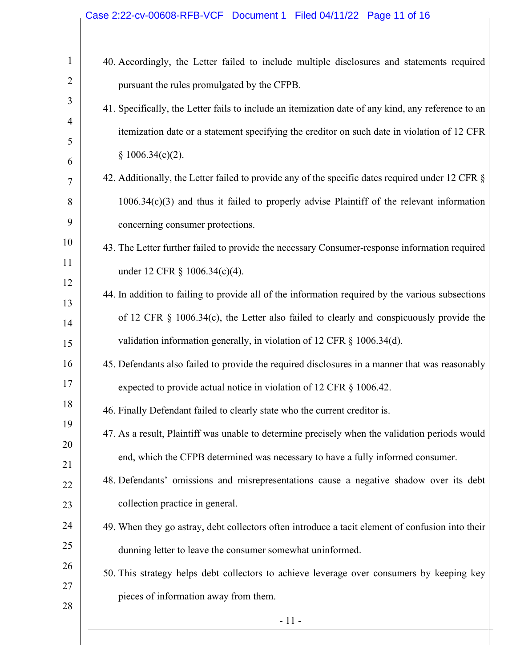| $\mathbf{1}$   | 40. Accordingly, the Letter failed to include multiple disclosures and statements required         |
|----------------|----------------------------------------------------------------------------------------------------|
| $\overline{2}$ | pursuant the rules promulgated by the CFPB.                                                        |
| 3              | 41. Specifically, the Letter fails to include an itemization date of any kind, any reference to an |
| $\overline{4}$ | itemization date or a statement specifying the creditor on such date in violation of 12 CFR        |
| 5              | § 1006.34(c)(2).                                                                                   |
| 6<br>7         | 42. Additionally, the Letter failed to provide any of the specific dates required under 12 CFR §   |
| 8              | $1006.34(c)(3)$ and thus it failed to properly advise Plaintiff of the relevant information        |
| 9              | concerning consumer protections.                                                                   |
| 10             | 43. The Letter further failed to provide the necessary Consumer-response information required      |
| 11             | under 12 CFR § 1006.34(c)(4).                                                                      |
| 12             | 44. In addition to failing to provide all of the information required by the various subsections   |
| 13<br>14       | of 12 CFR $\S$ 1006.34(c), the Letter also failed to clearly and conspicuously provide the         |
| 15             | validation information generally, in violation of 12 CFR § 1006.34(d).                             |
| 16             | 45. Defendants also failed to provide the required disclosures in a manner that was reasonably     |
| 17             | expected to provide actual notice in violation of 12 CFR § 1006.42.                                |
| 18             | 46. Finally Defendant failed to clearly state who the current creditor is.                         |
| 19             | 47. As a result, Plaintiff was unable to determine precisely when the validation periods would     |
| 20<br>21       | end, which the CFPB determined was necessary to have a fully informed consumer.                    |
| 22             | 48. Defendants' omissions and misrepresentations cause a negative shadow over its debt             |
| 23             | collection practice in general.                                                                    |
| 24             | 49. When they go astray, debt collectors often introduce a tacit element of confusion into their   |
| 25             | dunning letter to leave the consumer somewhat uninformed.                                          |
| 26             | 50. This strategy helps debt collectors to achieve leverage over consumers by keeping key          |
| 27             | pieces of information away from them.                                                              |
| 28             | $-11-$                                                                                             |
|                |                                                                                                    |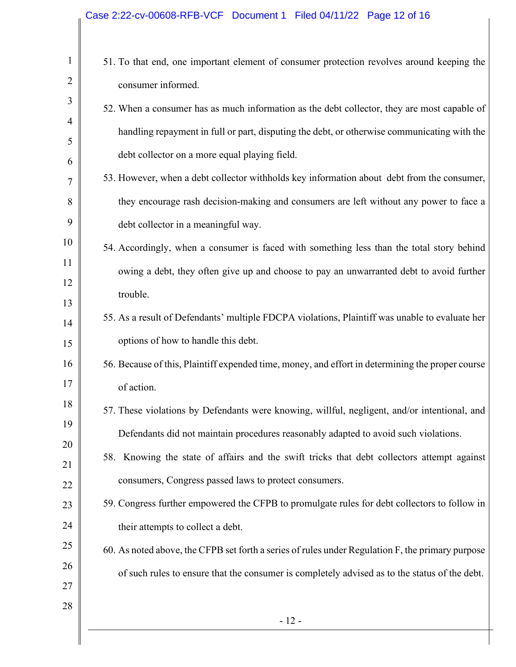## Case 2:22-cv-00608-RFB-VCF Document 1 Filed 04/11/22 Page 12 of 16

| $\mathbf{1}$   | 51. To that end, one important element of consumer protection revolves around keeping the        |
|----------------|--------------------------------------------------------------------------------------------------|
| $\overline{2}$ | consumer informed.                                                                               |
| 3              | 52. When a consumer has as much information as the debt collector, they are most capable of      |
| 4              | handling repayment in full or part, disputing the debt, or otherwise communicating with the      |
| 5<br>6         | debt collector on a more equal playing field.                                                    |
| 7              | 53. However, when a debt collector withholds key information about debt from the consumer,       |
| 8              | they encourage rash decision-making and consumers are left without any power to face a           |
| 9              | debt collector in a meaningful way.                                                              |
| 10             | 54. Accordingly, when a consumer is faced with something less than the total story behind        |
| 11             | owing a debt, they often give up and choose to pay an unwarranted debt to avoid further          |
| 12<br>13       | trouble.                                                                                         |
| 14             | 55. As a result of Defendants' multiple FDCPA violations, Plaintiff was unable to evaluate her   |
| 15             | options of how to handle this debt.                                                              |
| 16             | 56. Because of this, Plaintiff expended time, money, and effort in determining the proper course |
| 17             | of action.                                                                                       |
| 18             | 57. These violations by Defendants were knowing, willful, negligent, and/or intentional, and     |
| 19<br>20       | Defendants did not maintain procedures reasonably adapted to avoid such violations.              |
| 21             | 58. Knowing the state of affairs and the swift tricks that debt collectors attempt against       |
| 22             | consumers, Congress passed laws to protect consumers.                                            |
| 23             | 59. Congress further empowered the CFPB to promulgate rules for debt collectors to follow in     |
| 24             | their attempts to collect a debt.                                                                |
| 25             | 60. As noted above, the CFPB set forth a series of rules under Regulation F, the primary purpose |
| 26<br>27       | of such rules to ensure that the consumer is completely advised as to the status of the debt.    |
| 28             |                                                                                                  |
|                | $-12-$                                                                                           |
|                |                                                                                                  |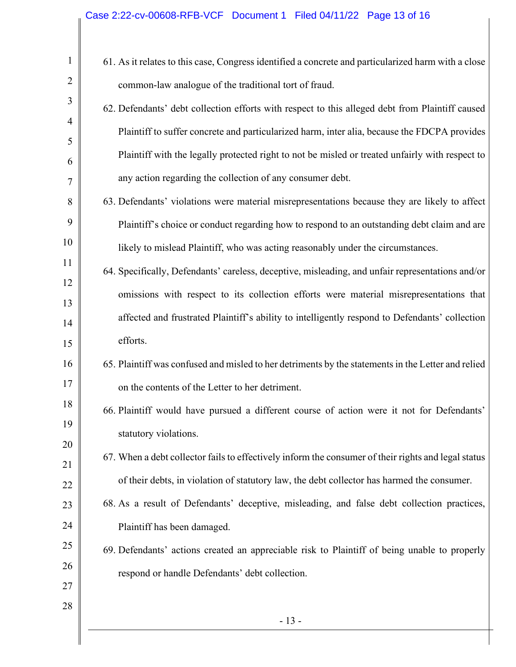## Case 2:22-cv-00608-RFB-VCF Document 1 Filed 04/11/22 Page 13 of 16

| 61. As it relates to this case, Congress identified a concrete and particularized harm with a close |
|-----------------------------------------------------------------------------------------------------|
| common-law analogue of the traditional tort of fraud.                                               |
| 62. Defendants' debt collection efforts with respect to this alleged debt from Plaintiff caused     |
| Plaintiff to suffer concrete and particularized harm, inter alia, because the FDCPA provides        |
| Plaintiff with the legally protected right to not be misled or treated unfairly with respect to     |
| any action regarding the collection of any consumer debt.                                           |
| 63. Defendants' violations were material misrepresentations because they are likely to affect       |
| Plaintiff's choice or conduct regarding how to respond to an outstanding debt claim and are         |
| likely to mislead Plaintiff, who was acting reasonably under the circumstances.                     |
| 64. Specifically, Defendants' careless, deceptive, misleading, and unfair representations and/or    |
| omissions with respect to its collection efforts were material misrepresentations that              |
| affected and frustrated Plaintiff's ability to intelligently respond to Defendants' collection      |
| efforts.                                                                                            |
| 65. Plaintiff was confused and misled to her detriments by the statements in the Letter and relied  |
| on the contents of the Letter to her detriment.                                                     |
| 66. Plaintiff would have pursued a different course of action were it not for Defendants'           |
| statutory violations.                                                                               |
| 67. When a debt collector fails to effectively inform the consumer of their rights and legal status |
| of their debts, in violation of statutory law, the debt collector has harmed the consumer.          |
| 68. As a result of Defendants' deceptive, misleading, and false debt collection practices,          |
| Plaintiff has been damaged.                                                                         |
| 69. Defendants' actions created an appreciable risk to Plaintiff of being unable to properly        |
| respond or handle Defendants' debt collection.                                                      |
|                                                                                                     |
| $-13-$                                                                                              |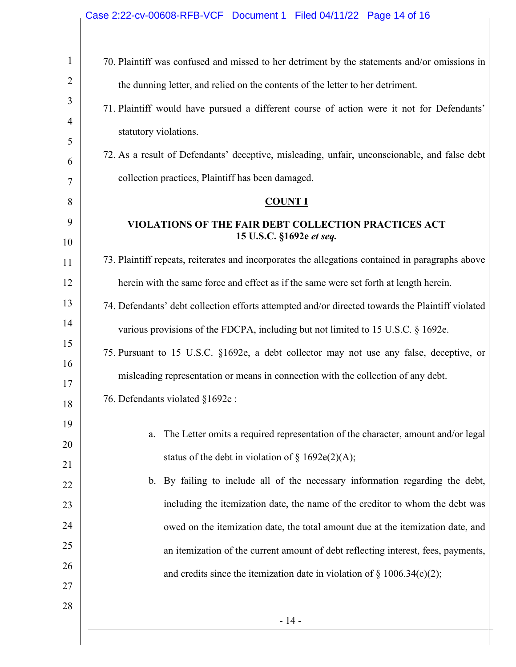|                | Case 2:22-cv-00608-RFB-VCF Document 1 Filed 04/11/22 Page 14 of 16                               |
|----------------|--------------------------------------------------------------------------------------------------|
| $\mathbf{1}$   | 70. Plaintiff was confused and missed to her detriment by the statements and/or omissions in     |
| $\overline{2}$ | the dunning letter, and relied on the contents of the letter to her detriment.                   |
| 3              | 71. Plaintiff would have pursued a different course of action were it not for Defendants'        |
| $\overline{4}$ | statutory violations.                                                                            |
| 5<br>6         | 72. As a result of Defendants' deceptive, misleading, unfair, unconscionable, and false debt     |
| 7              | collection practices, Plaintiff has been damaged.                                                |
| 8              | <b>COUNT I</b>                                                                                   |
| 9              | VIOLATIONS OF THE FAIR DEBT COLLECTION PRACTICES ACT                                             |
| 10             | 15 U.S.C. §1692e et seq.                                                                         |
| 11             | 73. Plaintiff repeats, reiterates and incorporates the allegations contained in paragraphs above |
| 12             | herein with the same force and effect as if the same were set forth at length herein.            |
| 13             | 74. Defendants' debt collection efforts attempted and/or directed towards the Plaintiff violated |
| 14             | various provisions of the FDCPA, including but not limited to 15 U.S.C. § 1692e.                 |
| 15             | 75. Pursuant to 15 U.S.C. §1692e, a debt collector may not use any false, deceptive, or          |
| 16             | misleading representation or means in connection with the collection of any debt.                |
| 17<br>18       | 76. Defendants violated §1692e :                                                                 |
| 19             |                                                                                                  |
| 20             | The Letter omits a required representation of the character, amount and/or legal<br>a.           |
| 21             | status of the debt in violation of $\S$ 1692e(2)(A);                                             |
| 22             | By failing to include all of the necessary information regarding the debt,<br>$\mathbf{b}$ .     |
| 23             | including the itemization date, the name of the creditor to whom the debt was                    |
| 24             | owed on the itemization date, the total amount due at the itemization date, and                  |
| 25             | an itemization of the current amount of debt reflecting interest, fees, payments,                |
| 26             | and credits since the itemization date in violation of $\S$ 1006.34(c)(2);                       |
| 27             |                                                                                                  |
| 28             | $-14-$                                                                                           |
|                |                                                                                                  |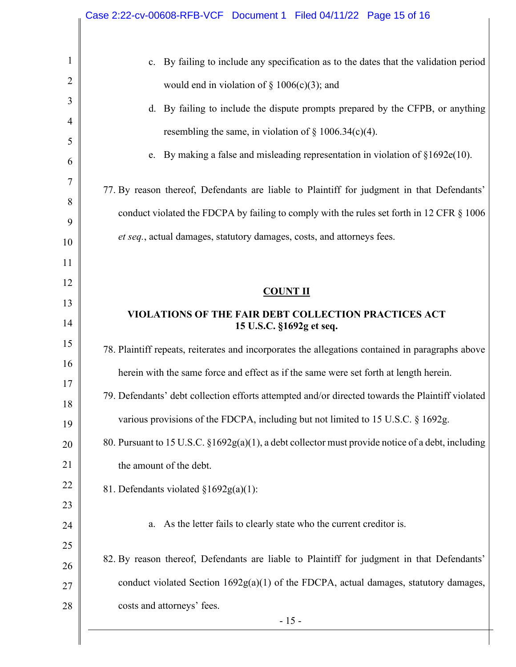| costs and attorneys' fees.                                                                        |
|---------------------------------------------------------------------------------------------------|
| conduct violated Section $1692g(a)(1)$ of the FDCPA, actual damages, statutory damages,           |
| 82. By reason thereof, Defendants are liable to Plaintiff for judgment in that Defendants'        |
| a. As the letter fails to clearly state who the current creditor is.                              |
| 81. Defendants violated §1692g(a)(1):                                                             |
| the amount of the debt.                                                                           |
| 80. Pursuant to 15 U.S.C. §1692g(a)(1), a debt collector must provide notice of a debt, including |
| various provisions of the FDCPA, including but not limited to 15 U.S.C. § 1692g.                  |
| 79. Defendants' debt collection efforts attempted and/or directed towards the Plaintiff violated  |
| herein with the same force and effect as if the same were set forth at length herein.             |
| 78. Plaintiff repeats, reiterates and incorporates the allegations contained in paragraphs above  |
| VIOLATIONS OF THE FAIR DEBT COLLECTION PRACTICES ACT<br>15 U.S.C. §1692g et seq.                  |
| <b>COUNT II</b>                                                                                   |
|                                                                                                   |
|                                                                                                   |
| et seq., actual damages, statutory damages, costs, and attorneys fees.                            |
| conduct violated the FDCPA by failing to comply with the rules set forth in 12 CFR § 1006         |
| 77. By reason thereof, Defendants are liable to Plaintiff for judgment in that Defendants'        |
| e. By making a false and misleading representation in violation of $§1692e(10)$ .                 |
| resembling the same, in violation of $\S 1006.34(c)(4)$ .                                         |
| d. By failing to include the dispute prompts prepared by the CFPB, or anything                    |
| would end in violation of $\S 1006(c)(3)$ ; and                                                   |
| c. By failing to include any specification as to the dates that the validation period             |
|                                                                                                   |